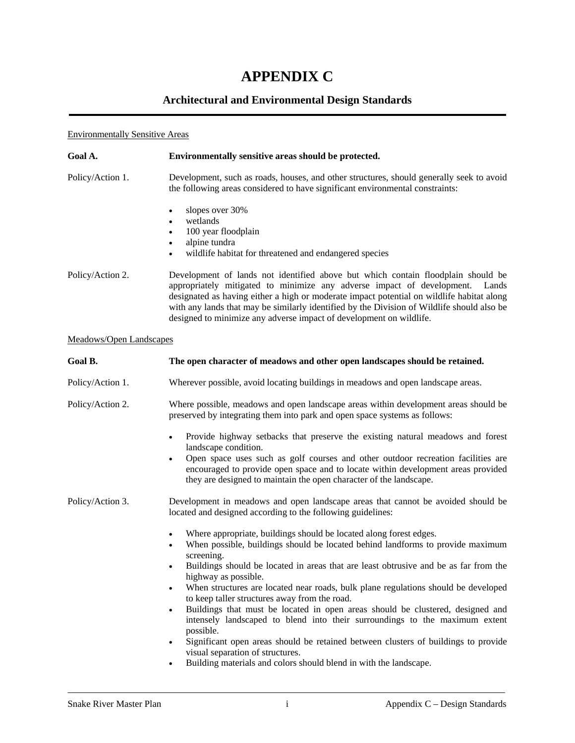# **APPENDIX C**

## **Architectural and Environmental Design Standards**

## Environmentally Sensitive Areas

| Goal A.                        | Environmentally sensitive areas should be protected.                                                                                                                                                                                                                                                                                                                                                                                  |
|--------------------------------|---------------------------------------------------------------------------------------------------------------------------------------------------------------------------------------------------------------------------------------------------------------------------------------------------------------------------------------------------------------------------------------------------------------------------------------|
| Policy/Action 1.               | Development, such as roads, houses, and other structures, should generally seek to avoid<br>the following areas considered to have significant environmental constraints:                                                                                                                                                                                                                                                             |
|                                | slopes over 30%<br>$\bullet$<br>wetlands<br>$\bullet$<br>100 year floodplain<br>$\bullet$<br>alpine tundra<br>$\bullet$<br>wildlife habitat for threatened and endangered species<br>$\bullet$                                                                                                                                                                                                                                        |
| Policy/Action 2.               | Development of lands not identified above but which contain floodplain should be<br>appropriately mitigated to minimize any adverse impact of development.<br>Lands<br>designated as having either a high or moderate impact potential on wildlife habitat along<br>with any lands that may be similarly identified by the Division of Wildlife should also be<br>designed to minimize any adverse impact of development on wildlife. |
| <b>Meadows/Open Landscapes</b> |                                                                                                                                                                                                                                                                                                                                                                                                                                       |

| Goal B.          | The open character of meadows and other open landscapes should be retained.                                                                                                                                                                                                                                                                                                                                                                                                                                                                                                                                                                                                                                                                                                                                                                                                  |
|------------------|------------------------------------------------------------------------------------------------------------------------------------------------------------------------------------------------------------------------------------------------------------------------------------------------------------------------------------------------------------------------------------------------------------------------------------------------------------------------------------------------------------------------------------------------------------------------------------------------------------------------------------------------------------------------------------------------------------------------------------------------------------------------------------------------------------------------------------------------------------------------------|
| Policy/Action 1. | Wherever possible, avoid locating buildings in meadows and open landscape areas.                                                                                                                                                                                                                                                                                                                                                                                                                                                                                                                                                                                                                                                                                                                                                                                             |
| Policy/Action 2. | Where possible, meadows and open landscape areas within development areas should be<br>preserved by integrating them into park and open space systems as follows:                                                                                                                                                                                                                                                                                                                                                                                                                                                                                                                                                                                                                                                                                                            |
|                  | Provide highway setbacks that preserve the existing natural meadows and forest<br>$\bullet$<br>landscape condition.<br>Open space uses such as golf courses and other outdoor recreation facilities are<br>$\bullet$<br>encouraged to provide open space and to locate within development areas provided<br>they are designed to maintain the open character of the landscape.                                                                                                                                                                                                                                                                                                                                                                                                                                                                                               |
| Policy/Action 3. | Development in meadows and open landscape areas that cannot be avoided should be<br>located and designed according to the following guidelines:                                                                                                                                                                                                                                                                                                                                                                                                                                                                                                                                                                                                                                                                                                                              |
|                  | Where appropriate, buildings should be located along forest edges.<br>When possible, buildings should be located behind landforms to provide maximum<br>$\bullet$<br>screening.<br>Buildings should be located in areas that are least obtrusive and be as far from the<br>$\bullet$<br>highway as possible.<br>When structures are located near roads, bulk plane regulations should be developed<br>$\bullet$<br>to keep taller structures away from the road.<br>Buildings that must be located in open areas should be clustered, designed and<br>$\bullet$<br>intensely landscaped to blend into their surroundings to the maximum extent<br>possible.<br>Significant open areas should be retained between clusters of buildings to provide<br>$\bullet$<br>visual separation of structures.<br>Building materials and colors should blend in with the landscape.<br>٠ |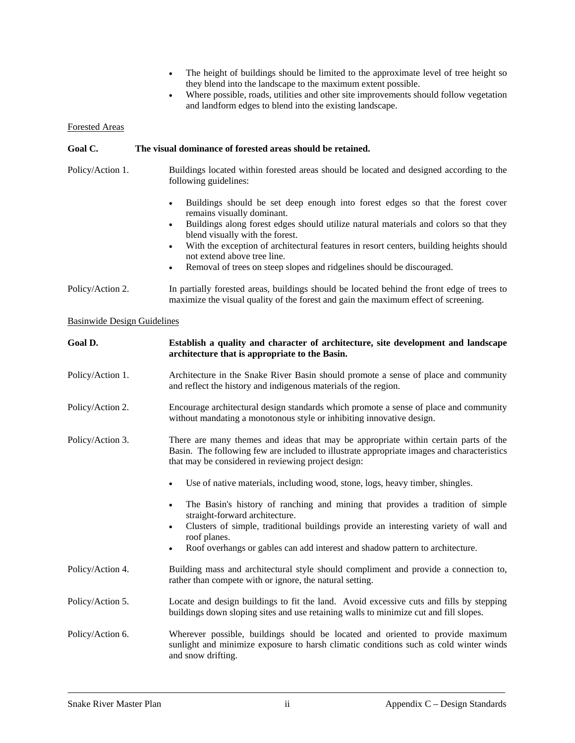- The height of buildings should be limited to the approximate level of tree height so they blend into the landscape to the maximum extent possible.
- Where possible, roads, utilities and other site improvements should follow vegetation and landform edges to blend into the existing landscape.

#### Forested Areas

| Goal C.                            | The visual dominance of forested areas should be retained.                                                                                                                                                                                                                                                                                                                                                                                                                               |
|------------------------------------|------------------------------------------------------------------------------------------------------------------------------------------------------------------------------------------------------------------------------------------------------------------------------------------------------------------------------------------------------------------------------------------------------------------------------------------------------------------------------------------|
| Policy/Action 1.                   | Buildings located within forested areas should be located and designed according to the<br>following guidelines:                                                                                                                                                                                                                                                                                                                                                                         |
|                                    | Buildings should be set deep enough into forest edges so that the forest cover<br>٠<br>remains visually dominant.<br>Buildings along forest edges should utilize natural materials and colors so that they<br>$\bullet$<br>blend visually with the forest.<br>With the exception of architectural features in resort centers, building heights should<br>$\bullet$<br>not extend above tree line.<br>Removal of trees on steep slopes and ridgelines should be discouraged.<br>$\bullet$ |
| Policy/Action 2.                   | In partially forested areas, buildings should be located behind the front edge of trees to<br>maximize the visual quality of the forest and gain the maximum effect of screening.                                                                                                                                                                                                                                                                                                        |
| <b>Basinwide Design Guidelines</b> |                                                                                                                                                                                                                                                                                                                                                                                                                                                                                          |
| Goal D.                            | Establish a quality and character of architecture, site development and landscape<br>architecture that is appropriate to the Basin.                                                                                                                                                                                                                                                                                                                                                      |

- Policy/Action 1. Architecture in the Snake River Basin should promote a sense of place and community and reflect the history and indigenous materials of the region.
- Policy/Action 2. Encourage architectural design standards which promote a sense of place and community without mandating a monotonous style or inhibiting innovative design.
- Policy/Action 3. There are many themes and ideas that may be appropriate within certain parts of the Basin. The following few are included to illustrate appropriate images and characteristics that may be considered in reviewing project design:
	- Use of native materials, including wood, stone, logs, heavy timber, shingles.
	- The Basin's history of ranching and mining that provides a tradition of simple straight-forward architecture.
	- Clusters of simple, traditional buildings provide an interesting variety of wall and roof planes.
	- Roof overhangs or gables can add interest and shadow pattern to architecture.
- Policy/Action 4. Building mass and architectural style should compliment and provide a connection to, rather than compete with or ignore, the natural setting.
- Policy/Action 5. Locate and design buildings to fit the land. Avoid excessive cuts and fills by stepping buildings down sloping sites and use retaining walls to minimize cut and fill slopes.
- Policy/Action 6. Wherever possible, buildings should be located and oriented to provide maximum sunlight and minimize exposure to harsh climatic conditions such as cold winter winds and snow drifting.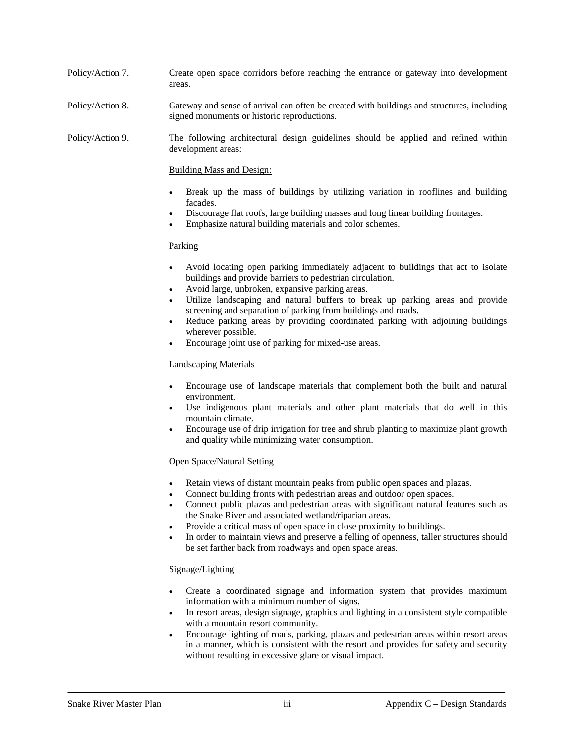- Policy/Action 7. Create open space corridors before reaching the entrance or gateway into development areas.
- Policy/Action 8. Gateway and sense of arrival can often be created with buildings and structures, including signed monuments or historic reproductions.

Policy/Action 9. The following architectural design guidelines should be applied and refined within development areas:

Building Mass and Design:

- Break up the mass of buildings by utilizing variation in rooflines and building facades.
- Discourage flat roofs, large building masses and long linear building frontages.
- Emphasize natural building materials and color schemes.

#### Parking

- Avoid locating open parking immediately adjacent to buildings that act to isolate buildings and provide barriers to pedestrian circulation.
- Avoid large, unbroken, expansive parking areas.
- Utilize landscaping and natural buffers to break up parking areas and provide screening and separation of parking from buildings and roads.
- Reduce parking areas by providing coordinated parking with adjoining buildings wherever possible.
- Encourage joint use of parking for mixed-use areas.

#### Landscaping Materials

- Encourage use of landscape materials that complement both the built and natural environment.
- Use indigenous plant materials and other plant materials that do well in this mountain climate.
- Encourage use of drip irrigation for tree and shrub planting to maximize plant growth and quality while minimizing water consumption.

#### Open Space/Natural Setting

- Retain views of distant mountain peaks from public open spaces and plazas.
- Connect building fronts with pedestrian areas and outdoor open spaces.
- Connect public plazas and pedestrian areas with significant natural features such as the Snake River and associated wetland/riparian areas.
- Provide a critical mass of open space in close proximity to buildings.
- In order to maintain views and preserve a felling of openness, taller structures should be set farther back from roadways and open space areas.

#### Signage/Lighting

- Create a coordinated signage and information system that provides maximum information with a minimum number of signs.
- In resort areas, design signage, graphics and lighting in a consistent style compatible with a mountain resort community.
- Encourage lighting of roads, parking, plazas and pedestrian areas within resort areas in a manner, which is consistent with the resort and provides for safety and security without resulting in excessive glare or visual impact.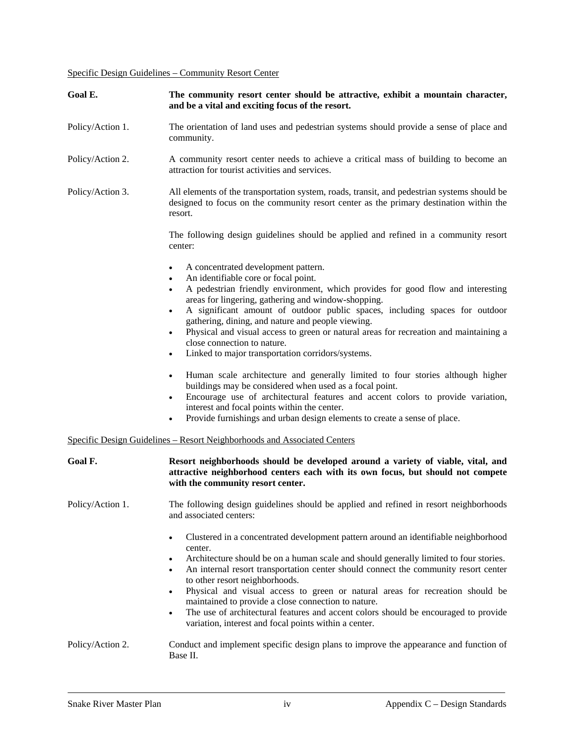Specific Design Guidelines – Community Resort Center

| Goal E.          | The community resort center should be attractive, exhibit a mountain character,<br>and be a vital and exciting focus of the resort.                                                                                                                                                                                                                                                                                                                                                                                                                                                                                                                                                                                                                                                                                                                                                                                                                 |
|------------------|-----------------------------------------------------------------------------------------------------------------------------------------------------------------------------------------------------------------------------------------------------------------------------------------------------------------------------------------------------------------------------------------------------------------------------------------------------------------------------------------------------------------------------------------------------------------------------------------------------------------------------------------------------------------------------------------------------------------------------------------------------------------------------------------------------------------------------------------------------------------------------------------------------------------------------------------------------|
| Policy/Action 1. | The orientation of land uses and pedestrian systems should provide a sense of place and<br>community.                                                                                                                                                                                                                                                                                                                                                                                                                                                                                                                                                                                                                                                                                                                                                                                                                                               |
| Policy/Action 2. | A community resort center needs to achieve a critical mass of building to become an<br>attraction for tourist activities and services.                                                                                                                                                                                                                                                                                                                                                                                                                                                                                                                                                                                                                                                                                                                                                                                                              |
| Policy/Action 3. | All elements of the transportation system, roads, transit, and pedestrian systems should be<br>designed to focus on the community resort center as the primary destination within the<br>resort.                                                                                                                                                                                                                                                                                                                                                                                                                                                                                                                                                                                                                                                                                                                                                    |
|                  | The following design guidelines should be applied and refined in a community resort<br>center:                                                                                                                                                                                                                                                                                                                                                                                                                                                                                                                                                                                                                                                                                                                                                                                                                                                      |
|                  | A concentrated development pattern.<br>٠<br>An identifiable core or focal point.<br>$\bullet$<br>A pedestrian friendly environment, which provides for good flow and interesting<br>٠<br>areas for lingering, gathering and window-shopping.<br>A significant amount of outdoor public spaces, including spaces for outdoor<br>٠<br>gathering, dining, and nature and people viewing.<br>Physical and visual access to green or natural areas for recreation and maintaining a<br>close connection to nature.<br>Linked to major transportation corridors/systems.<br>٠<br>Human scale architecture and generally limited to four stories although higher<br>٠<br>buildings may be considered when used as a focal point.<br>Encourage use of architectural features and accent colors to provide variation,<br>٠<br>interest and focal points within the center.<br>Provide furnishings and urban design elements to create a sense of place.<br>٠ |
|                  | Specific Design Guidelines – Resort Neighborhoods and Associated Centers                                                                                                                                                                                                                                                                                                                                                                                                                                                                                                                                                                                                                                                                                                                                                                                                                                                                            |
| Goal F.          | Resort neighborhoods should be developed around a variety of viable, vital, and<br>attractive neighborhood centers each with its own focus, but should not compete<br>with the community resort center.                                                                                                                                                                                                                                                                                                                                                                                                                                                                                                                                                                                                                                                                                                                                             |
| Policy/Action 1. | The following design guidelines should be applied and refined in resort neighborhoods<br>and associated centers:                                                                                                                                                                                                                                                                                                                                                                                                                                                                                                                                                                                                                                                                                                                                                                                                                                    |
|                  | Clustered in a concentrated development pattern around an identifiable neighborhood<br>$\bullet$<br>center.<br>Architecture should be on a human scale and should generally limited to four stories.<br>٠<br>An internal resort transportation center should connect the community resort center<br>٠<br>to other resort neighborhoods.<br>Physical and visual access to green or natural areas for recreation should be<br>maintained to provide a close connection to nature.<br>The use of architectural features and accent colors should be encouraged to provide<br>٠<br>variation, interest and focal points within a center.                                                                                                                                                                                                                                                                                                                |
| Policy/Action 2. | Conduct and implement specific design plans to improve the appearance and function of<br>Base II.                                                                                                                                                                                                                                                                                                                                                                                                                                                                                                                                                                                                                                                                                                                                                                                                                                                   |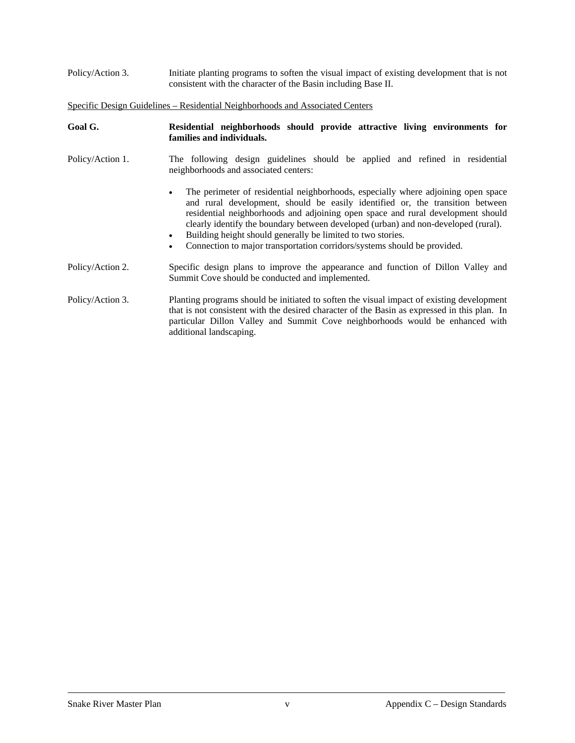Policy/Action 3. Initiate planting programs to soften the visual impact of existing development that is not consistent with the character of the Basin including Base II.

Specific Design Guidelines – Residential Neighborhoods and Associated Centers

| Goal G.          | Residential neighborhoods should provide attractive living environments for<br>families and individuals.                                                                                                                                                                                                                                                                                                                                                                                                                      |
|------------------|-------------------------------------------------------------------------------------------------------------------------------------------------------------------------------------------------------------------------------------------------------------------------------------------------------------------------------------------------------------------------------------------------------------------------------------------------------------------------------------------------------------------------------|
| Policy/Action 1. | The following design guidelines should be applied and refined in residential<br>neighborhoods and associated centers:                                                                                                                                                                                                                                                                                                                                                                                                         |
|                  | The perimeter of residential neighborhoods, especially where adjoining open space<br>$\bullet$<br>and rural development, should be easily identified or, the transition between<br>residential neighborhoods and adjoining open space and rural development should<br>clearly identify the boundary between developed (urban) and non-developed (rural).<br>Building height should generally be limited to two stories.<br>$\bullet$<br>Connection to major transportation corridors/systems should be provided.<br>$\bullet$ |
| Policy/Action 2. | Specific design plans to improve the appearance and function of Dillon Valley and<br>Summit Cove should be conducted and implemented.                                                                                                                                                                                                                                                                                                                                                                                         |
| Policy/Action 3. | Planting programs should be initiated to soften the visual impact of existing development<br>that is not consistent with the desired character of the Basin as expressed in this plan. In<br>particular Dillon Valley and Summit Cove neighborhoods would be enhanced with<br>additional landscaping.                                                                                                                                                                                                                         |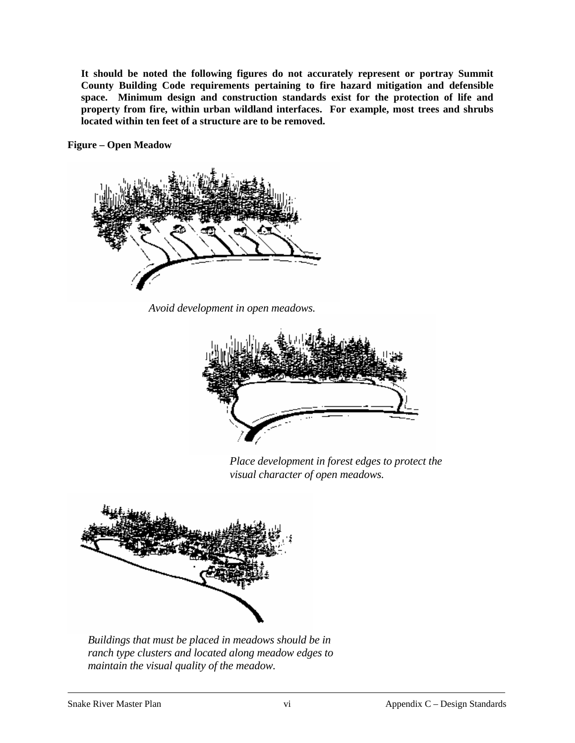**It should be noted the following figures do not accurately represent or portray Summit County Building Code requirements pertaining to fire hazard mitigation and defensible space. Minimum design and construction standards exist for the protection of life and property from fire, within urban wildland interfaces. For example, most trees and shrubs located within ten feet of a structure are to be removed.** 

**Figure – Open Meadow** 



*Avoid development in open meadows.* 



 *Place development in forest edges to protect the visual character of open meadows.* 



 *Buildings that must be placed in meadows should be in ranch type clusters and located along meadow edges to maintain the visual quality of the meadow.*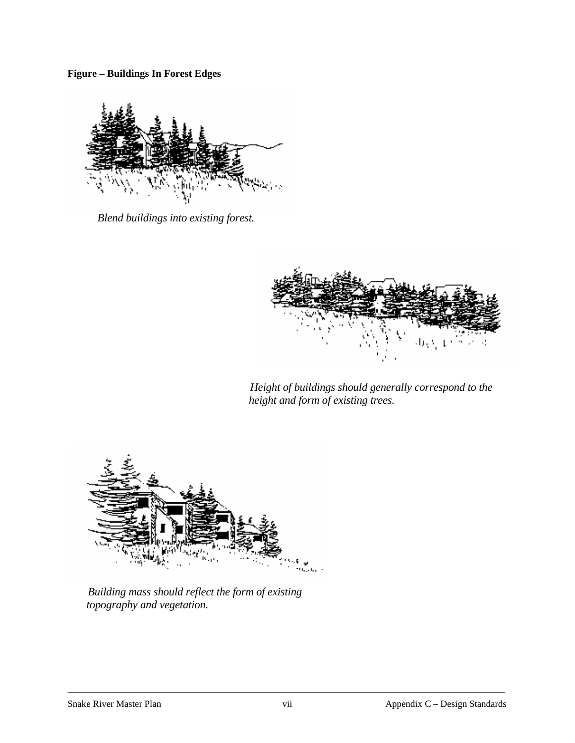**Figure – Buildings In Forest Edges** 



 *Blend buildings into existing forest.* 



 *Height of buildings should generally correspond to the height and form of existing trees.* 



 *Building mass should reflect the form of existing topography and vegetation.*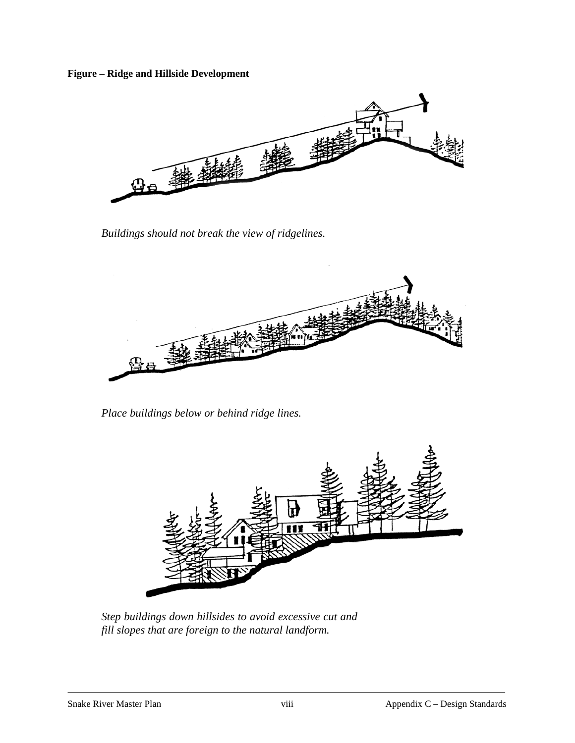**Figure – Ridge and Hillside Development** 



*Buildings should not break the view of ridgelines.* 



*Place buildings below or behind ridge lines.* 



*Step buildings down hillsides to avoid excessive cut and fill slopes that are foreign to the natural landform.*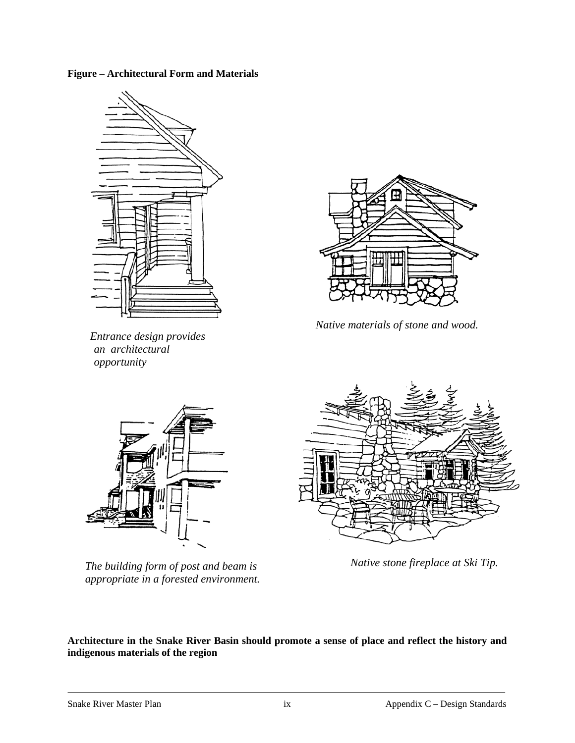**Figure – Architectural Form and Materials** 



 *Entrance design provides an architectural opportunity* 



 *Native materials of stone and wood.* 



*The building form of post and beam is appropriate in a forested environment.* 



*Native stone fireplace at Ski Tip.* 

**Architecture in the Snake River Basin should promote a sense of place and reflect the history and indigenous materials of the region**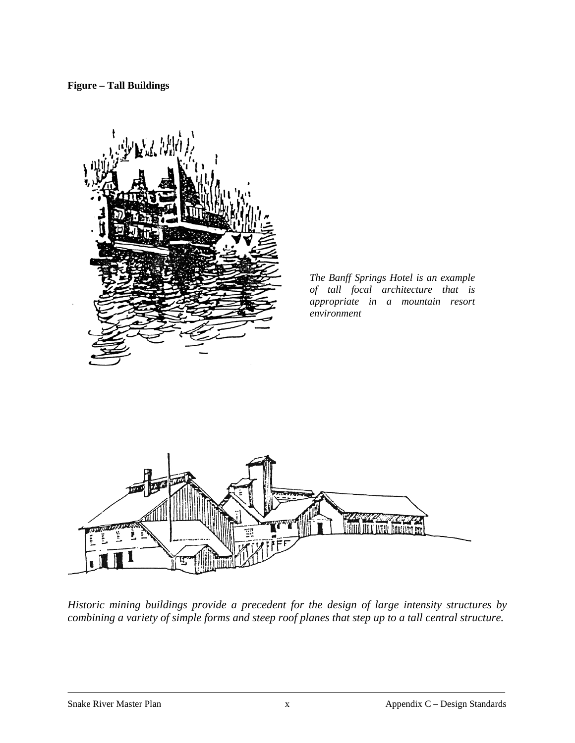**Figure – Tall Buildings** 



*The Banff Springs Hotel is an example of tall focal architecture that is appropriate in a mountain resort environment* 



*Historic mining buildings provide a precedent for the design of large intensity structures by combining a variety of simple forms and steep roof planes that step up to a tall central structure.*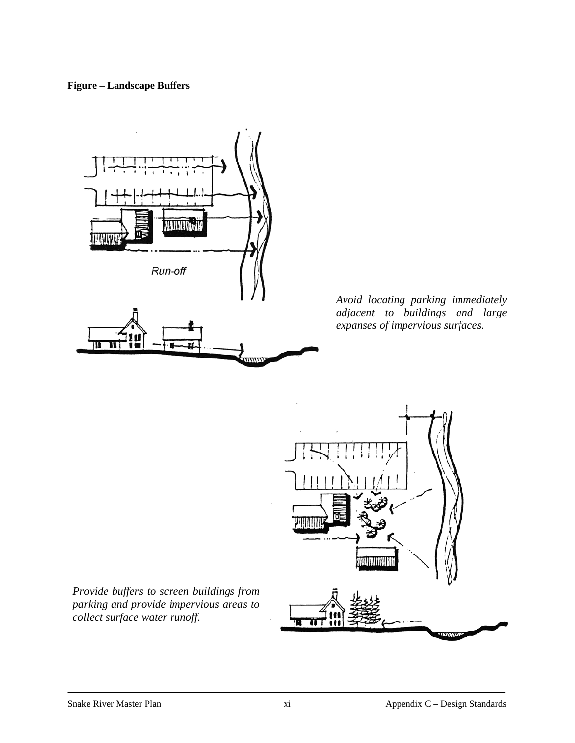### **Figure – Landscape Buffers**



*Avoid locating parking immediately adjacent to buildings and large expanses of impervious surfaces.* 



*Provide buffers to screen buildings from parking and provide impervious areas to collect surface water runoff.*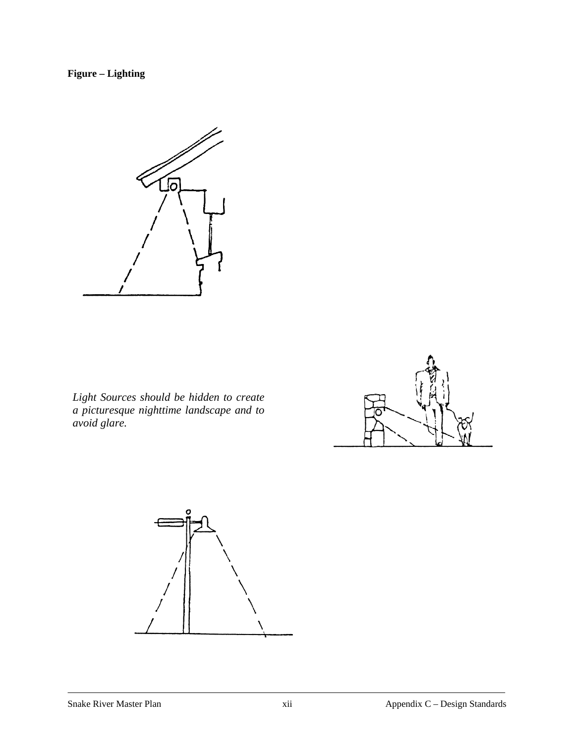## **Figure – Lighting**



*Light Sources should be hidden to create a picturesque nighttime landscape and to avoid glare.*